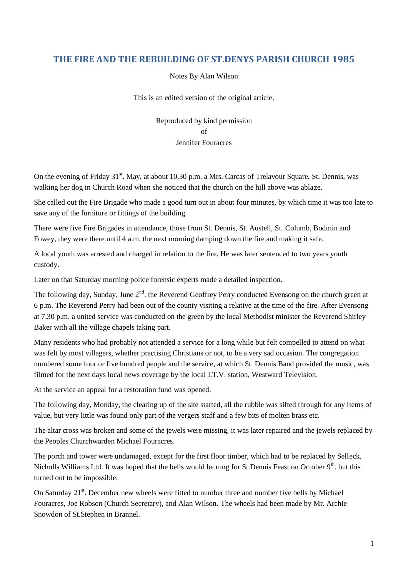#### **THE FIRE AND THE REBUILDING OF ST.DENYS PARISH CHURCH 1985**

Notes By Alan Wilson

This is an edited version of the original article.

Reproduced by kind permission of Jennifer Fouracres

On the evening of Friday 31<sup>st</sup>. May, at about 10.30 p.m. a Mrs. Carcas of Trelavour Square, St. Dennis, was walking her dog in Church Road when she noticed that the church on the hill above was ablaze.

She called out the Fire Brigade who made a good turn out in about four minutes, by which time it was too late to save any of the furniture or fittings of the building.

There were five Fire Brigades in attendance, those from St. Dennis, St. Austell, St. Columb, Bodmin and Fowey, they were there until 4 a.m. the next morning damping down the fire and making it safe.

A local youth was arrested and charged in relation to the fire. He was later sentenced to two years youth custody.

Later on that Saturday morning police forensic experts made a detailed inspection.

The following day, Sunday, June  $2<sup>nd</sup>$ . the Reverend Geoffrey Perry conducted Evensong on the church green at 6 p.m. The Reverend Perry had been out of the county visiting a relative at the time of the fire. After Evensong at 7.30 p.m. a united service was conducted on the green by the local Methodist minister the Reverend Shirley Baker with all the village chapels taking part.

Many residents who had probably not attended a service for a long while but felt compelled to attend on what was felt by most villagers, whether practising Christians or not, to be a very sad occasion. The congregation numbered some four or five hundred people and the service, at which St. Dennis Band provided the music, was filmed for the next days local news coverage by the local I.T.V. station, Westward Television.

At the service an appeal for a restoration fund was opened.

The following day, Monday, the clearing up of the site started, all the rubble was sifted through for any items of value, but very little was found only part of the vergers staff and a few bits of molten brass etc.

The altar cross was broken and some of the jewels were missing, it was later repaired and the jewels replaced by the Peoples Churchwarden Michael Fouracres.

The porch and tower were undamaged, except for the first floor timber, which had to be replaced by Selleck, Nicholls Williams Ltd. It was hoped that the bells would be rung for St.Dennis Feast on October  $9<sup>th</sup>$ . but this turned out to be impossible.

On Saturday 21<sup>st</sup>. December new wheels were fitted to number three and number five bells by Michael Fouracres, Joe Robson (Church Secretary), and Alan Wilson. The wheels had been made by Mr. Archie Snowdon of St.Stephen in Brannel.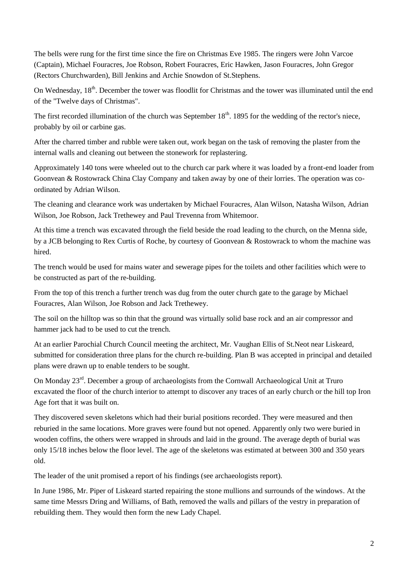The bells were rung for the first time since the fire on Christmas Eve 1985. The ringers were John Varcoe (Captain), Michael Fouracres, Joe Robson, Robert Fouracres, Eric Hawken, Jason Fouracres, John Gregor (Rectors Churchwarden), Bill Jenkins and Archie Snowdon of St.Stephens.

On Wednesday, 18<sup>th</sup>. December the tower was floodlit for Christmas and the tower was illuminated until the end of the "Twelve days of Christmas".

The first recorded illumination of the church was September  $18<sup>th</sup>$ . 1895 for the wedding of the rector's niece, probably by oil or carbine gas.

After the charred timber and rubble were taken out, work began on the task of removing the plaster from the internal walls and cleaning out between the stonework for replastering.

Approximately 140 tons were wheeled out to the church car park where it was loaded by a front-end loader from Goonvean & Rostowrack China Clay Company and taken away by one of their lorries. The operation was coordinated by Adrian Wilson.

The cleaning and clearance work was undertaken by Michael Fouracres, Alan Wilson, Natasha Wilson, Adrian Wilson, Joe Robson, Jack Trethewey and Paul Trevenna from Whitemoor.

At this time a trench was excavated through the field beside the road leading to the church, on the Menna side, by a JCB belonging to Rex Curtis of Roche, by courtesy of Goonvean & Rostowrack to whom the machine was hired.

The trench would be used for mains water and sewerage pipes for the toilets and other facilities which were to be constructed as part of the re-building.

From the top of this trench a further trench was dug from the outer church gate to the garage by Michael Fouracres, Alan Wilson, Joe Robson and Jack Trethewey.

The soil on the hilltop was so thin that the ground was virtually solid base rock and an air compressor and hammer jack had to be used to cut the trench.

At an earlier Parochial Church Council meeting the architect, Mr. Vaughan Ellis of St.Neot near Liskeard, submitted for consideration three plans for the church re-building. Plan B was accepted in principal and detailed plans were drawn up to enable tenders to be sought.

On Monday 23<sup>rd</sup>. December a group of archaeologists from the Cornwall Archaeological Unit at Truro excavated the floor of the church interior to attempt to discover any traces of an early church or the hill top Iron Age fort that it was built on.

They discovered seven skeletons which had their burial positions recorded. They were measured and then reburied in the same locations. More graves were found but not opened. Apparently only two were buried in wooden coffins, the others were wrapped in shrouds and laid in the ground. The average depth of burial was only 15/18 inches below the floor level. The age of the skeletons was estimated at between 300 and 350 years old.

The leader of the unit promised a report of his findings (see archaeologists report).

In June 1986, Mr. Piper of Liskeard started repairing the stone mullions and surrounds of the windows. At the same time Messrs Dring and Williams, of Bath, removed the walls and pillars of the vestry in preparation of rebuilding them. They would then form the new Lady Chapel.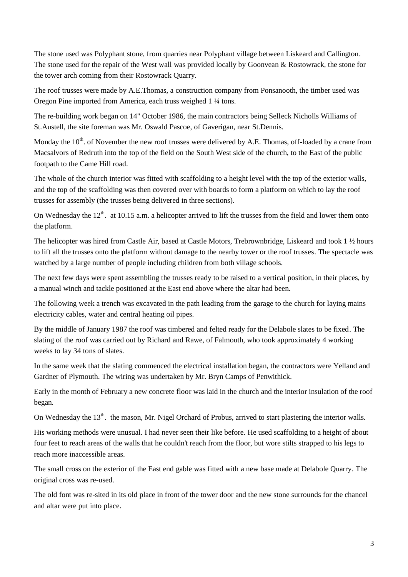The stone used was Polyphant stone, from quarries near Polyphant village between Liskeard and Callington. The stone used for the repair of the West wall was provided locally by Goonvean & Rostowrack, the stone for the tower arch coming from their Rostowrack Quarry.

The roof trusses were made by A.E.Thomas, a construction company from Ponsanooth, the timber used was Oregon Pine imported from America, each truss weighed 1 ¼ tons.

The re-building work began on 14" October 1986, the main contractors being Selleck Nicholls Williams of St.Austell, the site foreman was Mr. Oswald Pascoe, of Gaverigan, near St.Dennis.

Monday the  $10^{th}$ . of November the new roof trusses were delivered by A.E. Thomas, off-loaded by a crane from Macsalvors of Redruth into the top of the field on the South West side of the church, to the East of the public footpath to the Came Hill road.

The whole of the church interior was fitted with scaffolding to a height level with the top of the exterior walls, and the top of the scaffolding was then covered over with boards to form a platform on which to lay the roof trusses for assembly (the trusses being delivered in three sections).

On Wednesday the  $12<sup>th</sup>$ . at 10.15 a.m. a helicopter arrived to lift the trusses from the field and lower them onto the platform.

The helicopter was hired from Castle Air, based at Castle Motors, Trebrownbridge, Liskeard and took 1 ½ hours to lift all the trusses onto the platform without damage to the nearby tower or the roof trusses. The spectacle was watched by a large number of people including children from both village schools.

The next few days were spent assembling the trusses ready to be raised to a vertical position, in their places, by a manual winch and tackle positioned at the East end above where the altar had been.

The following week a trench was excavated in the path leading from the garage to the church for laying mains electricity cables, water and central heating oil pipes.

By the middle of January 1987 the roof was timbered and felted ready for the Delabole slates to be fixed. The slating of the roof was carried out by Richard and Rawe, of Falmouth, who took approximately 4 working weeks to lay 34 tons of slates.

In the same week that the slating commenced the electrical installation began, the contractors were Yelland and Gardner of Plymouth. The wiring was undertaken by Mr. Bryn Camps of Penwithick.

Early in the month of February a new concrete floor was laid in the church and the interior insulation of the roof began.

On Wednesday the 13<sup>th</sup>. the mason, Mr. Nigel Orchard of Probus, arrived to start plastering the interior walls.

His working methods were unusual. I had never seen their like before. He used scaffolding to a height of about four feet to reach areas of the walls that he couldn't reach from the floor, but wore stilts strapped to his legs to reach more inaccessible areas.

The small cross on the exterior of the East end gable was fitted with a new base made at Delabole Quarry. The original cross was re-used.

The old font was re-sited in its old place in front of the tower door and the new stone surrounds for the chancel and altar were put into place.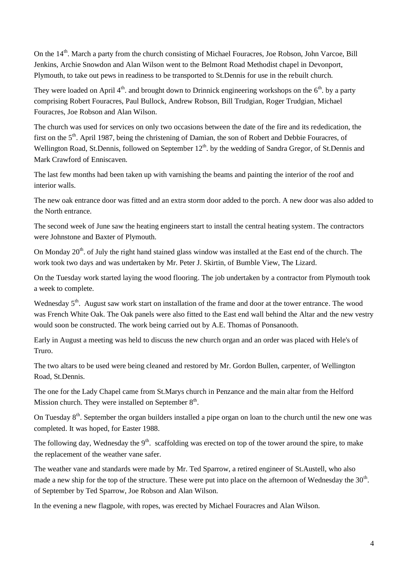On the 14<sup>th</sup>. March a party from the church consisting of Michael Fouracres, Joe Robson, John Varcoe, Bill Jenkins, Archie Snowdon and Alan Wilson went to the Belmont Road Methodist chapel in Devonport, Plymouth, to take out pews in readiness to be transported to St.Dennis for use in the rebuilt church.

They were loaded on April  $4<sup>th</sup>$ . and brought down to Drinnick engineering workshops on the  $6<sup>th</sup>$ . by a party comprising Robert Fouracres, Paul Bullock, Andrew Robson, Bill Trudgian, Roger Trudgian, Michael Fouracres, Joe Robson and Alan Wilson.

The church was used for services on only two occasions between the date of the fire and its rededication, the first on the 5<sup>th</sup>. April 1987, being the christening of Damian, the son of Robert and Debbie Fouracres, of Wellington Road, St.Dennis, followed on September 12<sup>th</sup>. by the wedding of Sandra Gregor, of St.Dennis and Mark Crawford of Enniscaven.

The last few months had been taken up with varnishing the beams and painting the interior of the roof and interior walls.

The new oak entrance door was fitted and an extra storm door added to the porch. A new door was also added to the North entrance.

The second week of June saw the heating engineers start to install the central heating system. The contractors were Johnstone and Baxter of Plymouth.

On Monday 20<sup>th</sup>. of July the right hand stained glass window was installed at the East end of the church. The work took two days and was undertaken by Mr. Peter J. Skirtin, of Bumble View, The Lizard.

On the Tuesday work started laying the wood flooring. The job undertaken by a contractor from Plymouth took a week to complete.

Wednesday 5<sup>th</sup>. August saw work start on installation of the frame and door at the tower entrance. The wood was French White Oak. The Oak panels were also fitted to the East end wall behind the Altar and the new vestry would soon be constructed. The work being carried out by A.E. Thomas of Ponsanooth.

Early in August a meeting was held to discuss the new church organ and an order was placed with Hele's of Truro.

The two altars to be used were being cleaned and restored by Mr. Gordon Bullen, carpenter, of Wellington Road, St.Dennis.

The one for the Lady Chapel came from St.Marys church in Penzance and the main altar from the Helford Mission church. They were installed on September  $8<sup>th</sup>$ .

On Tuesday  $8<sup>th</sup>$ . September the organ builders installed a pipe organ on loan to the church until the new one was completed. It was hoped, for Easter 1988.

The following day, Wednesday the  $9<sup>th</sup>$ . scaffolding was erected on top of the tower around the spire, to make the replacement of the weather vane safer.

The weather vane and standards were made by Mr. Ted Sparrow, a retired engineer of St.Austell, who also made a new ship for the top of the structure. These were put into place on the afternoon of Wednesday the  $30<sup>th</sup>$ . of September by Ted Sparrow, Joe Robson and Alan Wilson.

In the evening a new flagpole, with ropes, was erected by Michael Fouracres and Alan Wilson.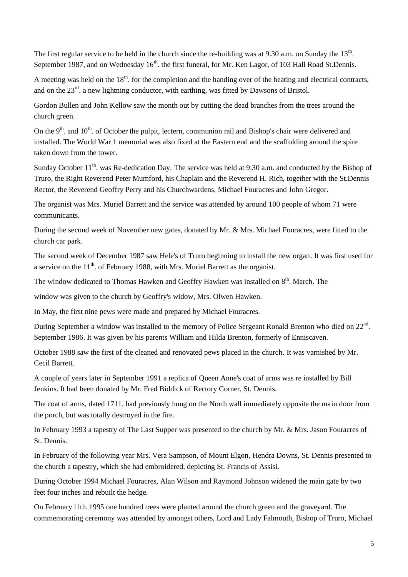The first regular service to be held in the church since the re-building was at 9.30 a.m. on Sunday the  $13<sup>th</sup>$ . September 1987, and on Wednesday 16<sup>th</sup>. the first funeral, for Mr. Ken Lagor, of 103 Hall Road St.Dennis.

A meeting was held on the  $18<sup>th</sup>$ . for the completion and the handing over of the heating and electrical contracts, and on the  $23<sup>rd</sup>$ . a new lightning conductor, with earthing, was fitted by Dawsons of Bristol.

Gordon Bullen and John Kellow saw the month out by cutting the dead branches from the trees around the church green.

On the  $9<sup>th</sup>$  and  $10<sup>th</sup>$  of October the pulpit, lectern, communion rail and Bishop's chair were delivered and installed. The World War 1 memorial was also fixed at the Eastern end and the scaffolding around the spire taken down from the tower.

Sunday October  $11<sup>th</sup>$ . was Re-dedication Day. The service was held at 9.30 a.m. and conducted by the Bishop of Truro, the Right Reverend Peter Mumford, his Chaplain and the Reverend H. Rich, together with the St.Dennis Rector, the Reverend Geoffry Perry and his Churchwardens, Michael Fouracres and John Gregor.

The organist was Mrs. Muriel Barrett and the service was attended by around 100 people of whom 71 were communicants.

During the second week of November new gates, donated by Mr. & Mrs. Michael Fouracres, were fitted to the church car park.

The second week of December 1987 saw Hele's of Truro beginning to install the new organ. It was first used for a service on the  $11<sup>th</sup>$ . of February 1988, with Mrs. Muriel Barrett as the organist.

The window dedicated to Thomas Hawken and Geoffry Hawken was installed on 8<sup>th</sup>. March. The

window was given to the church by Geoffry's widow, Mrs. Olwen Hawken.

In May, the first nine pews were made and prepared by Michael Fouracres.

During September a window was installed to the memory of Police Sergeant Ronald Brenton who died on 22<sup>nd</sup>. September 1986. It was given by his parents William and Hilda Brenton, formerly of Enniscaven.

October 1988 saw the first of the cleaned and renovated pews placed in the church. It was varnished by Mr. Cecil Barrett.

A couple of years later in September 1991 a replica of Queen Anne's coat of arms was re installed by Bill Jenkins. It had been donated by Mr. Fred Biddick of Rectory Corner, St. Dennis.

The coat of arms, dated 1711, had previously hung on the North wall immediately opposite the main door from the porch, but was totally destroyed in the fire.

In February 1993 a tapestry of The Last Supper was presented to the church by Mr. & Mrs. Jason Fouracres of St. Dennis.

In February of the following year Mrs. Vera Sampson, of Mount Elgon, Hendra Downs, St. Dennis presented to the church a tapestry, which she had embroidered, depicting St. Francis of Assisi.

During October 1994 Michael Fouracres, Alan Wilson and Raymond Johnson widened the main gate by two feet four inches and rebuilt the hedge.

On February l1th. 1995 one hundred trees were planted around the church green and the graveyard. The commemorating ceremony was attended by amongst others, Lord and Lady Falmouth, Bishop of Truro, Michael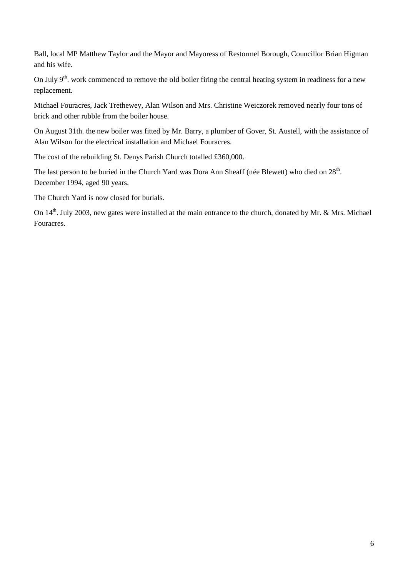Ball, local MP Matthew Taylor and the Mayor and Mayoress of Restormel Borough, Councillor Brian Higman and his wife.

On July  $9<sup>th</sup>$ . work commenced to remove the old boiler firing the central heating system in readiness for a new replacement.

Michael Fouracres, Jack Trethewey, Alan Wilson and Mrs. Christine Weiczorek removed nearly four tons of brick and other rubble from the boiler house.

On August 31th. the new boiler was fitted by Mr. Barry, a plumber of Gover, St. Austell, with the assistance of Alan Wilson for the electrical installation and Michael Fouracres.

The cost of the rebuilding St. Denys Parish Church totalled £360,000.

The last person to be buried in the Church Yard was Dora Ann Sheaff (née Blewett) who died on 28<sup>th</sup>. December 1994, aged 90 years.

The Church Yard is now closed for burials.

On  $14<sup>th</sup>$ . July 2003, new gates were installed at the main entrance to the church, donated by Mr. & Mrs. Michael Fouracres.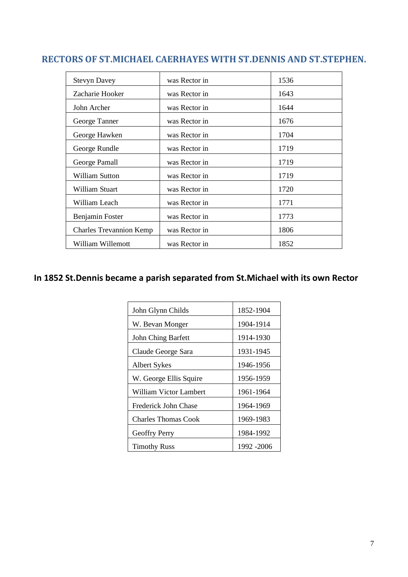# **RECTORS OF ST.MICHAEL CAERHAYES WITH ST.DENNIS AND ST.STEPHEN.**

| <b>Stevyn Davey</b>            | was Rector in | 1536 |
|--------------------------------|---------------|------|
| Zacharie Hooker                | was Rector in | 1643 |
| John Archer                    | was Rector in | 1644 |
| George Tanner                  | was Rector in | 1676 |
| George Hawken                  | was Rector in | 1704 |
| George Rundle                  | was Rector in | 1719 |
| George Pamall                  | was Rector in | 1719 |
| William Sutton                 | was Rector in | 1719 |
| William Stuart                 | was Rector in | 1720 |
| William Leach                  | was Rector in | 1771 |
| Benjamin Foster                | was Rector in | 1773 |
| <b>Charles Trevannion Kemp</b> | was Rector in | 1806 |
| William Willemott              | was Rector in | 1852 |

# **In 1852 St.Dennis became a parish separated from St.Michael with its own Rector**

| John Glynn Childs      | 1852-1904  |
|------------------------|------------|
| W. Bevan Monger        | 1904-1914  |
| John Ching Barfett     | 1914-1930  |
| Claude George Sara     | 1931-1945  |
| <b>Albert Sykes</b>    | 1946-1956  |
| W. George Ellis Squire | 1956-1959  |
| William Victor Lambert | 1961-1964  |
| Frederick John Chase   | 1964-1969  |
| Charles Thomas Cook    | 1969-1983  |
| Geoffry Perry          | 1984-1992  |
| <b>Timothy Russ</b>    | 1992 -2006 |